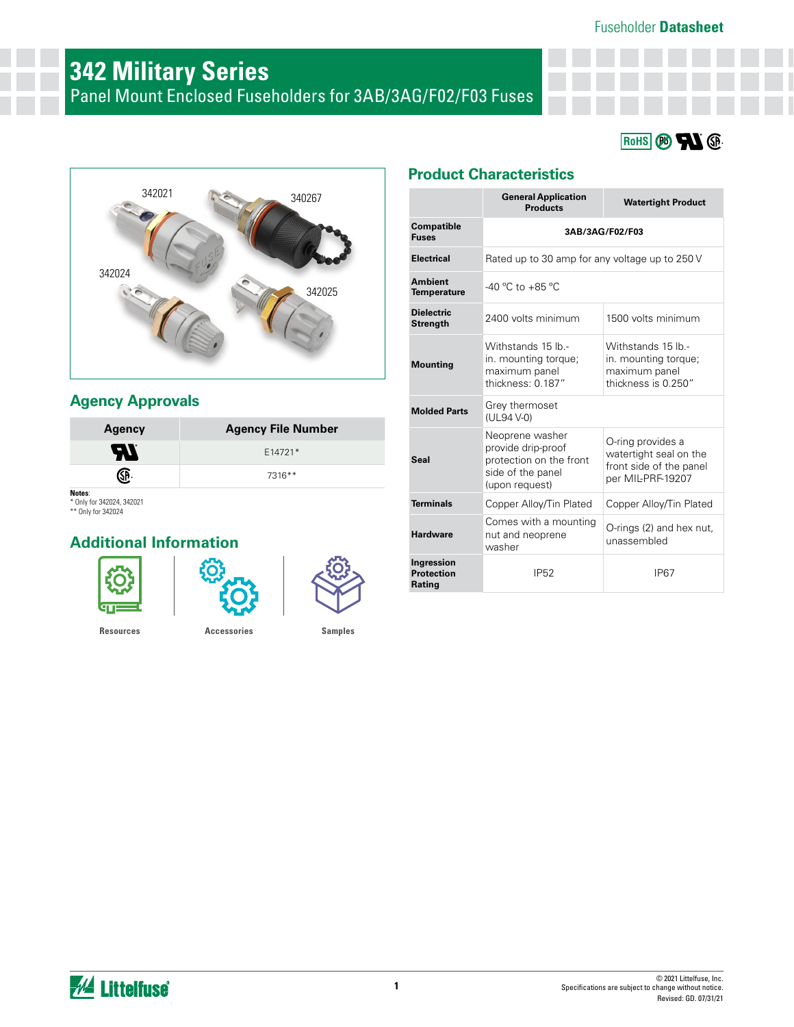#### Fuseholder **Datasheet**

# **342 Military Series**

Panel Mount Enclosed Fuseholders for 3AB/3AG/F02/F03 Fuses





## **Agency Approvals**

| <b>Agency</b> | <b>Agency File Number</b> |  |  |  |
|---------------|---------------------------|--|--|--|
| <b>AT</b>     | E14721*                   |  |  |  |
|               | 7316**                    |  |  |  |
| Naton:        |                           |  |  |  |

**Notes**: \* Only for 342024, 342021 \*\* Only for 342024

## **Additional Information**







## **Product Characteristics**

|                                           | <b>General Application</b><br><b>Products</b>                                                           | <b>Watertight Product</b>                                                                   |  |  |  |  |  |
|-------------------------------------------|---------------------------------------------------------------------------------------------------------|---------------------------------------------------------------------------------------------|--|--|--|--|--|
| <b>Compatible</b><br><b>Fuses</b>         | 3AB/3AG/F02/F03                                                                                         |                                                                                             |  |  |  |  |  |
| <b>Electrical</b>                         | Rated up to 30 amp for any voltage up to 250 V                                                          |                                                                                             |  |  |  |  |  |
| <b>Ambient</b><br><b>Temperature</b>      | $-40 °C$ to $+85 °C$                                                                                    |                                                                                             |  |  |  |  |  |
| <b>Dielectric</b><br><b>Strength</b>      | 2400 volts minimum                                                                                      | 1500 volts minimum                                                                          |  |  |  |  |  |
| <b>Mounting</b>                           | Withstands 15 lb -<br>in. mounting torque;<br>maximum panel<br>thickness: 0.187"                        | Withstands 15 lb.-<br>in. mounting torque;<br>maximum panel<br>thickness is 0.250"          |  |  |  |  |  |
| <b>Molded Parts</b>                       | Grey thermoset<br>(UL94 V-0)                                                                            |                                                                                             |  |  |  |  |  |
| <b>Seal</b>                               | Neoprene washer<br>provide drip-proof<br>protection on the front<br>side of the panel<br>(upon request) | O-ring provides a<br>watertight seal on the<br>front side of the panel<br>per MIL-PRF-19207 |  |  |  |  |  |
| <b>Terminals</b>                          | Copper Alloy/Tin Plated                                                                                 | Copper Alloy/Tin Plated                                                                     |  |  |  |  |  |
| <b>Hardware</b>                           | Comes with a mounting<br>nut and neoprene<br>washer                                                     | O-rings (2) and hex nut,<br>unassembled                                                     |  |  |  |  |  |
| Ingression<br><b>Protection</b><br>Rating | <b>IP52</b>                                                                                             | <b>IP67</b>                                                                                 |  |  |  |  |  |